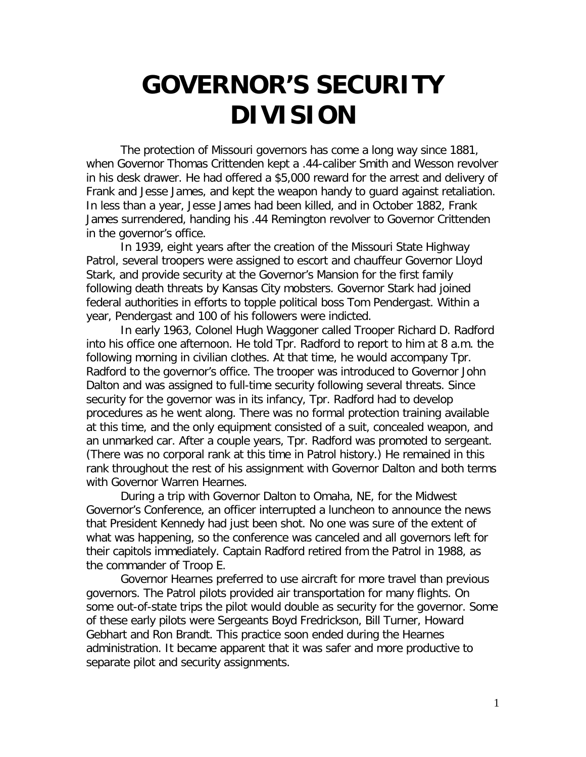## **GOVERNOR'S SECURITY DIVISION**

The protection of Missouri governors has come a long way since 1881, when Governor Thomas Crittenden kept a .44-caliber Smith and Wesson revolver in his desk drawer. He had offered a \$5,000 reward for the arrest and delivery of Frank and Jesse James, and kept the weapon handy to guard against retaliation. In less than a year, Jesse James had been killed, and in October 1882, Frank James surrendered, handing his .44 Remington revolver to Governor Crittenden in the governor's office.

In 1939, eight years after the creation of the Missouri State Highway Patrol, several troopers were assigned to escort and chauffeur Governor Lloyd Stark, and provide security at the Governor's Mansion for the first family following death threats by Kansas City mobsters. Governor Stark had joined federal authorities in efforts to topple political boss Tom Pendergast. Within a year, Pendergast and 100 of his followers were indicted.

In early 1963, Colonel Hugh Waggoner called Trooper Richard D. Radford into his office one afternoon. He told Tpr. Radford to report to him at 8 a.m. the following morning in civilian clothes. At that time, he would accompany Tpr. Radford to the governor's office. The trooper was introduced to Governor John Dalton and was assigned to full-time security following several threats. Since security for the governor was in its infancy, Tpr. Radford had to develop procedures as he went along. There was no formal protection training available at this time, and the only equipment consisted of a suit, concealed weapon, and an unmarked car. After a couple years, Tpr. Radford was promoted to sergeant. (There was no corporal rank at this time in Patrol history.) He remained in this rank throughout the rest of his assignment with Governor Dalton and both terms with Governor Warren Hearnes.

During a trip with Governor Dalton to Omaha, NE, for the Midwest Governor's Conference, an officer interrupted a luncheon to announce the news that President Kennedy had just been shot. No one was sure of the extent of what was happening, so the conference was canceled and all governors left for their capitols immediately. Captain Radford retired from the Patrol in 1988, as the commander of Troop E.

Governor Hearnes preferred to use aircraft for more travel than previous governors. The Patrol pilots provided air transportation for many flights. On some out-of-state trips the pilot would double as security for the governor. Some of these early pilots were Sergeants Boyd Fredrickson, Bill Turner, Howard Gebhart and Ron Brandt. This practice soon ended during the Hearnes administration. It became apparent that it was safer and more productive to separate pilot and security assignments.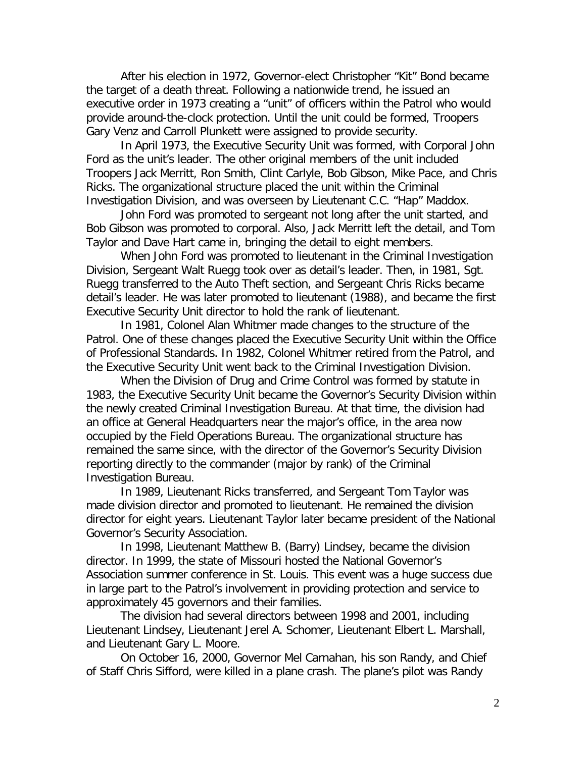After his election in 1972, Governor-elect Christopher "Kit" Bond became the target of a death threat. Following a nationwide trend, he issued an executive order in 1973 creating a "unit" of officers within the Patrol who would provide around-the-clock protection. Until the unit could be formed, Troopers Gary Venz and Carroll Plunkett were assigned to provide security.

In April 1973, the Executive Security Unit was formed, with Corporal John Ford as the unit's leader. The other original members of the unit included Troopers Jack Merritt, Ron Smith, Clint Carlyle, Bob Gibson, Mike Pace, and Chris Ricks. The organizational structure placed the unit within the Criminal Investigation Division, and was overseen by Lieutenant C.C. "Hap" Maddox.

John Ford was promoted to sergeant not long after the unit started, and Bob Gibson was promoted to corporal. Also, Jack Merritt left the detail, and Tom Taylor and Dave Hart came in, bringing the detail to eight members.

When John Ford was promoted to lieutenant in the Criminal Investigation Division, Sergeant Walt Ruegg took over as detail's leader. Then, in 1981, Sgt. Ruegg transferred to the Auto Theft section, and Sergeant Chris Ricks became detail's leader. He was later promoted to lieutenant (1988), and became the first Executive Security Unit director to hold the rank of lieutenant.

In 1981, Colonel Alan Whitmer made changes to the structure of the Patrol. One of these changes placed the Executive Security Unit within the Office of Professional Standards. In 1982, Colonel Whitmer retired from the Patrol, and the Executive Security Unit went back to the Criminal Investigation Division.

When the Division of Drug and Crime Control was formed by statute in 1983, the Executive Security Unit became the Governor's Security Division within the newly created Criminal Investigation Bureau. At that time, the division had an office at General Headquarters near the major's office, in the area now occupied by the Field Operations Bureau. The organizational structure has remained the same since, with the director of the Governor's Security Division reporting directly to the commander (major by rank) of the Criminal Investigation Bureau.

In 1989, Lieutenant Ricks transferred, and Sergeant Tom Taylor was made division director and promoted to lieutenant. He remained the division director for eight years. Lieutenant Taylor later became president of the National Governor's Security Association.

In 1998, Lieutenant Matthew B. (Barry) Lindsey, became the division director. In 1999, the state of Missouri hosted the National Governor's Association summer conference in St. Louis. This event was a huge success due in large part to the Patrol's involvement in providing protection and service to approximately 45 governors and their families.

The division had several directors between 1998 and 2001, including Lieutenant Lindsey, Lieutenant Jerel A. Schomer, Lieutenant Elbert L. Marshall, and Lieutenant Gary L. Moore.

On October 16, 2000, Governor Mel Carnahan, his son Randy, and Chief of Staff Chris Sifford, were killed in a plane crash. The plane's pilot was Randy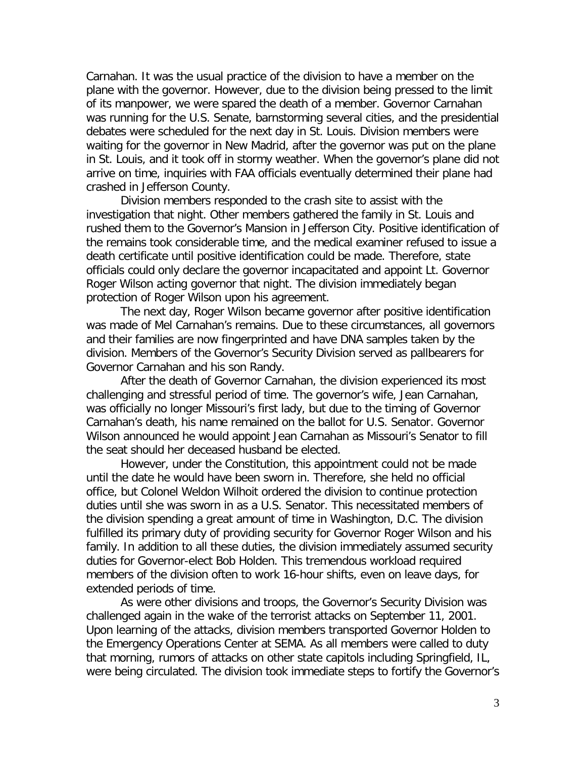Carnahan. It was the usual practice of the division to have a member on the plane with the governor. However, due to the division being pressed to the limit of its manpower, we were spared the death of a member. Governor Carnahan was running for the U.S. Senate, barnstorming several cities, and the presidential debates were scheduled for the next day in St. Louis. Division members were waiting for the governor in New Madrid, after the governor was put on the plane in St. Louis, and it took off in stormy weather. When the governor's plane did not arrive on time, inquiries with FAA officials eventually determined their plane had crashed in Jefferson County.

Division members responded to the crash site to assist with the investigation that night. Other members gathered the family in St. Louis and rushed them to the Governor's Mansion in Jefferson City. Positive identification of the remains took considerable time, and the medical examiner refused to issue a death certificate until positive identification could be made. Therefore, state officials could only declare the governor incapacitated and appoint Lt. Governor Roger Wilson acting governor that night. The division immediately began protection of Roger Wilson upon his agreement.

The next day, Roger Wilson became governor after positive identification was made of Mel Carnahan's remains. Due to these circumstances, all governors and their families are now fingerprinted and have DNA samples taken by the division. Members of the Governor's Security Division served as pallbearers for Governor Carnahan and his son Randy.

After the death of Governor Carnahan, the division experienced its most challenging and stressful period of time. The governor's wife, Jean Carnahan, was officially no longer Missouri's first lady, but due to the timing of Governor Carnahan's death, his name remained on the ballot for U.S. Senator. Governor Wilson announced he would appoint Jean Carnahan as Missouri's Senator to fill the seat should her deceased husband be elected.

However, under the Constitution, this appointment could not be made until the date he would have been sworn in. Therefore, she held no official office, but Colonel Weldon Wilhoit ordered the division to continue protection duties until she was sworn in as a U.S. Senator. This necessitated members of the division spending a great amount of time in Washington, D.C. The division fulfilled its primary duty of providing security for Governor Roger Wilson and his family. In addition to all these duties, the division immediately assumed security duties for Governor-elect Bob Holden. This tremendous workload required members of the division often to work 16-hour shifts, even on leave days, for extended periods of time.

As were other divisions and troops, the Governor's Security Division was challenged again in the wake of the terrorist attacks on September 11, 2001. Upon learning of the attacks, division members transported Governor Holden to the Emergency Operations Center at SEMA. As all members were called to duty that morning, rumors of attacks on other state capitols including Springfield, IL, were being circulated. The division took immediate steps to fortify the Governor's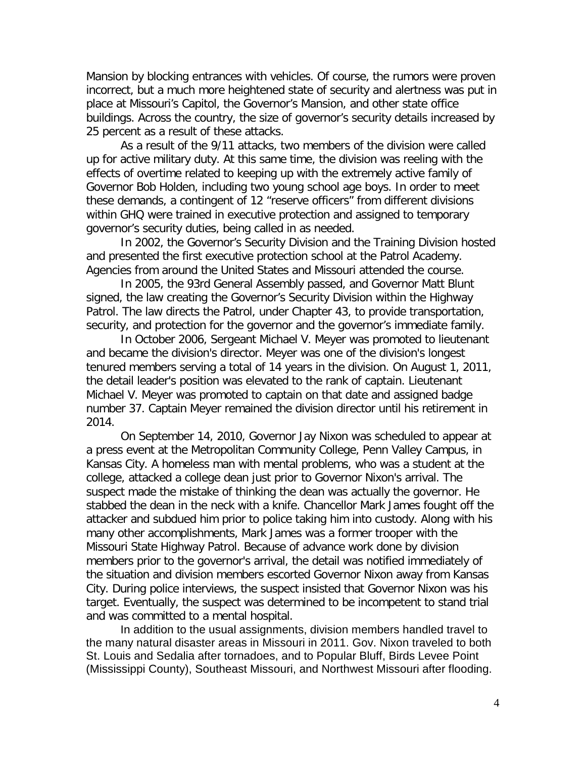Mansion by blocking entrances with vehicles. Of course, the rumors were proven incorrect, but a much more heightened state of security and alertness was put in place at Missouri's Capitol, the Governor's Mansion, and other state office buildings. Across the country, the size of governor's security details increased by 25 percent as a result of these attacks.

As a result of the 9/11 attacks, two members of the division were called up for active military duty. At this same time, the division was reeling with the effects of overtime related to keeping up with the extremely active family of Governor Bob Holden, including two young school age boys. In order to meet these demands, a contingent of 12 "reserve officers" from different divisions within GHQ were trained in executive protection and assigned to temporary governor's security duties, being called in as needed.

In 2002, the Governor's Security Division and the Training Division hosted and presented the first executive protection school at the Patrol Academy. Agencies from around the United States and Missouri attended the course.

In 2005, the 93rd General Assembly passed, and Governor Matt Blunt signed, the law creating the Governor's Security Division within the Highway Patrol. The law directs the Patrol, under Chapter 43, to provide transportation, security, and protection for the governor and the governor's immediate family.

In October 2006, Sergeant Michael V. Meyer was promoted to lieutenant and became the division's director. Meyer was one of the division's longest tenured members serving a total of 14 years in the division. On August 1, 2011, the detail leader's position was elevated to the rank of captain. Lieutenant Michael V. Meyer was promoted to captain on that date and assigned badge number 37. Captain Meyer remained the division director until his retirement in 2014.

On September 14, 2010, Governor Jay Nixon was scheduled to appear at a press event at the Metropolitan Community College, Penn Valley Campus, in Kansas City. A homeless man with mental problems, who was a student at the college, attacked a college dean just prior to Governor Nixon's arrival. The suspect made the mistake of thinking the dean was actually the governor. He stabbed the dean in the neck with a knife. Chancellor Mark James fought off the attacker and subdued him prior to police taking him into custody. Along with his many other accomplishments, Mark James was a former trooper with the Missouri State Highway Patrol. Because of advance work done by division members prior to the governor's arrival, the detail was notified immediately of the situation and division members escorted Governor Nixon away from Kansas City. During police interviews, the suspect insisted that Governor Nixon was his target. Eventually, the suspect was determined to be incompetent to stand trial and was committed to a mental hospital.

In addition to the usual assignments, division members handled travel to the many natural disaster areas in Missouri in 2011. Gov. Nixon traveled to both St. Louis and Sedalia after tornadoes, and to Popular Bluff, Birds Levee Point (Mississippi County), Southeast Missouri, and Northwest Missouri after flooding.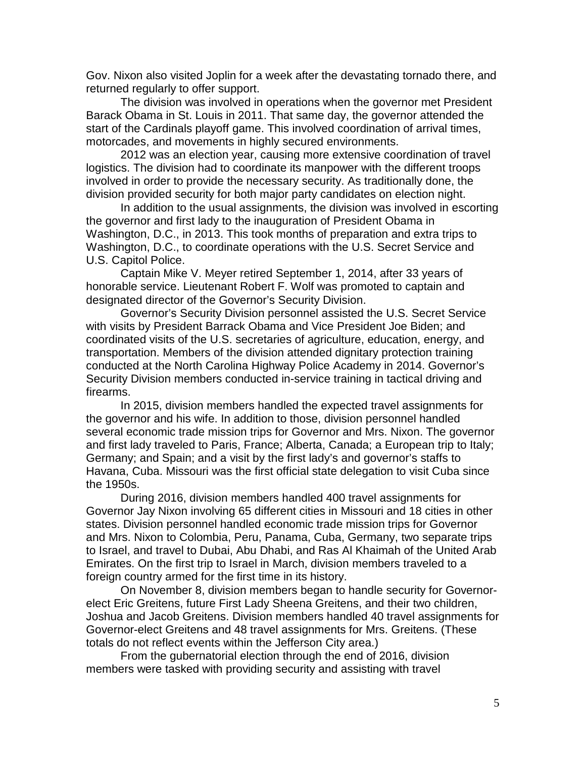Gov. Nixon also visited Joplin for a week after the devastating tornado there, and returned regularly to offer support.

The division was involved in operations when the governor met President Barack Obama in St. Louis in 2011. That same day, the governor attended the start of the Cardinals playoff game. This involved coordination of arrival times, motorcades, and movements in highly secured environments.

2012 was an election year, causing more extensive coordination of travel logistics. The division had to coordinate its manpower with the different troops involved in order to provide the necessary security. As traditionally done, the division provided security for both major party candidates on election night.

In addition to the usual assignments, the division was involved in escorting the governor and first lady to the inauguration of President Obama in Washington, D.C., in 2013. This took months of preparation and extra trips to Washington, D.C., to coordinate operations with the U.S. Secret Service and U.S. Capitol Police.

Captain Mike V. Meyer retired September 1, 2014, after 33 years of honorable service. Lieutenant Robert F. Wolf was promoted to captain and designated director of the Governor's Security Division.

Governor's Security Division personnel assisted the U.S. Secret Service with visits by President Barrack Obama and Vice President Joe Biden; and coordinated visits of the U.S. secretaries of agriculture, education, energy, and transportation. Members of the division attended dignitary protection training conducted at the North Carolina Highway Police Academy in 2014. Governor's Security Division members conducted in-service training in tactical driving and firearms.

In 2015, division members handled the expected travel assignments for the governor and his wife. In addition to those, division personnel handled several economic trade mission trips for Governor and Mrs. Nixon. The governor and first lady traveled to Paris, France; Alberta, Canada; a European trip to Italy; Germany; and Spain; and a visit by the first lady's and governor's staffs to Havana, Cuba. Missouri was the first official state delegation to visit Cuba since the 1950s.

During 2016, division members handled 400 travel assignments for Governor Jay Nixon involving 65 different cities in Missouri and 18 cities in other states. Division personnel handled economic trade mission trips for Governor and Mrs. Nixon to Colombia, Peru, Panama, Cuba, Germany, two separate trips to Israel, and travel to Dubai, Abu Dhabi, and Ras Al Khaimah of the United Arab Emirates. On the first trip to Israel in March, division members traveled to a foreign country armed for the first time in its history.

On November 8, division members began to handle security for Governorelect Eric Greitens, future First Lady Sheena Greitens, and their two children, Joshua and Jacob Greitens. Division members handled 40 travel assignments for Governor-elect Greitens and 48 travel assignments for Mrs. Greitens. (These totals do not reflect events within the Jefferson City area.)

From the gubernatorial election through the end of 2016, division members were tasked with providing security and assisting with travel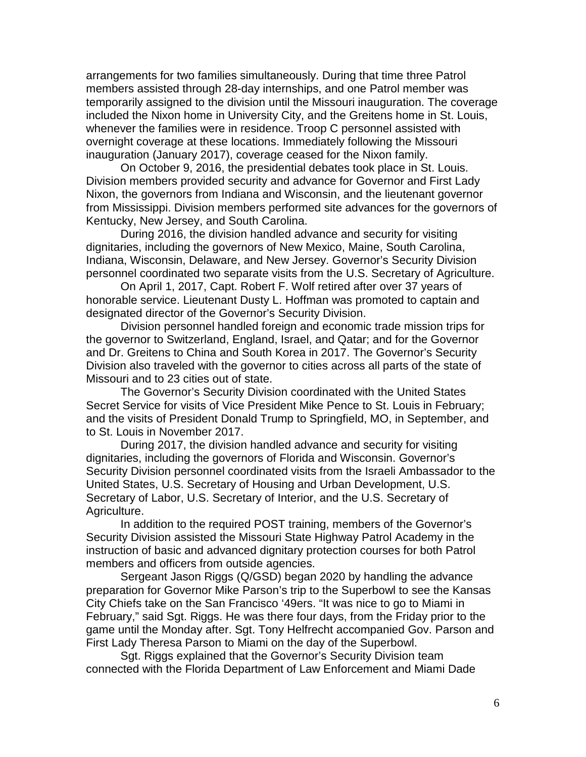arrangements for two families simultaneously. During that time three Patrol members assisted through 28-day internships, and one Patrol member was temporarily assigned to the division until the Missouri inauguration. The coverage included the Nixon home in University City, and the Greitens home in St. Louis, whenever the families were in residence. Troop C personnel assisted with overnight coverage at these locations. Immediately following the Missouri inauguration (January 2017), coverage ceased for the Nixon family.

On October 9, 2016, the presidential debates took place in St. Louis. Division members provided security and advance for Governor and First Lady Nixon, the governors from Indiana and Wisconsin, and the lieutenant governor from Mississippi. Division members performed site advances for the governors of Kentucky, New Jersey, and South Carolina.

During 2016, the division handled advance and security for visiting dignitaries, including the governors of New Mexico, Maine, South Carolina, Indiana, Wisconsin, Delaware, and New Jersey. Governor's Security Division personnel coordinated two separate visits from the U.S. Secretary of Agriculture.

On April 1, 2017, Capt. Robert F. Wolf retired after over 37 years of honorable service. Lieutenant Dusty L. Hoffman was promoted to captain and designated director of the Governor's Security Division.

Division personnel handled foreign and economic trade mission trips for the governor to Switzerland, England, Israel, and Qatar; and for the Governor and Dr. Greitens to China and South Korea in 2017. The Governor's Security Division also traveled with the governor to cities across all parts of the state of Missouri and to 23 cities out of state.

The Governor's Security Division coordinated with the United States Secret Service for visits of Vice President Mike Pence to St. Louis in February; and the visits of President Donald Trump to Springfield, MO, in September, and to St. Louis in November 2017.

During 2017, the division handled advance and security for visiting dignitaries, including the governors of Florida and Wisconsin. Governor's Security Division personnel coordinated visits from the Israeli Ambassador to the United States, U.S. Secretary of Housing and Urban Development, U.S. Secretary of Labor, U.S. Secretary of Interior, and the U.S. Secretary of Agriculture.

In addition to the required POST training, members of the Governor's Security Division assisted the Missouri State Highway Patrol Academy in the instruction of basic and advanced dignitary protection courses for both Patrol members and officers from outside agencies.

Sergeant Jason Riggs (Q/GSD) began 2020 by handling the advance preparation for Governor Mike Parson's trip to the Superbowl to see the Kansas City Chiefs take on the San Francisco '49ers. "It was nice to go to Miami in February," said Sgt. Riggs. He was there four days, from the Friday prior to the game until the Monday after. Sgt. Tony Helfrecht accompanied Gov. Parson and First Lady Theresa Parson to Miami on the day of the Superbowl.

Sgt. Riggs explained that the Governor's Security Division team connected with the Florida Department of Law Enforcement and Miami Dade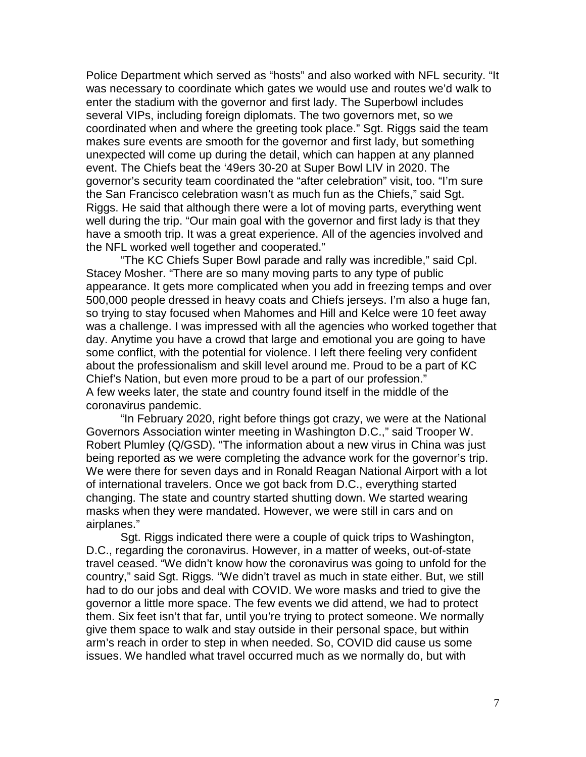Police Department which served as "hosts" and also worked with NFL security. "It was necessary to coordinate which gates we would use and routes we'd walk to enter the stadium with the governor and first lady. The Superbowl includes several VIPs, including foreign diplomats. The two governors met, so we coordinated when and where the greeting took place." Sgt. Riggs said the team makes sure events are smooth for the governor and first lady, but something unexpected will come up during the detail, which can happen at any planned event. The Chiefs beat the '49ers 30-20 at Super Bowl LIV in 2020. The governor's security team coordinated the "after celebration" visit, too. "I'm sure the San Francisco celebration wasn't as much fun as the Chiefs," said Sgt. Riggs. He said that although there were a lot of moving parts, everything went well during the trip. "Our main goal with the governor and first lady is that they have a smooth trip. It was a great experience. All of the agencies involved and the NFL worked well together and cooperated."

"The KC Chiefs Super Bowl parade and rally was incredible," said Cpl. Stacey Mosher. "There are so many moving parts to any type of public appearance. It gets more complicated when you add in freezing temps and over 500,000 people dressed in heavy coats and Chiefs jerseys. I'm also a huge fan, so trying to stay focused when Mahomes and Hill and Kelce were 10 feet away was a challenge. I was impressed with all the agencies who worked together that day. Anytime you have a crowd that large and emotional you are going to have some conflict, with the potential for violence. I left there feeling very confident about the professionalism and skill level around me. Proud to be a part of KC Chief's Nation, but even more proud to be a part of our profession." A few weeks later, the state and country found itself in the middle of the coronavirus pandemic.

"In February 2020, right before things got crazy, we were at the National Governors Association winter meeting in Washington D.C.," said Trooper W. Robert Plumley (Q/GSD). "The information about a new virus in China was just being reported as we were completing the advance work for the governor's trip. We were there for seven days and in Ronald Reagan National Airport with a lot of international travelers. Once we got back from D.C., everything started changing. The state and country started shutting down. We started wearing masks when they were mandated. However, we were still in cars and on airplanes."

Sgt. Riggs indicated there were a couple of quick trips to Washington, D.C., regarding the coronavirus. However, in a matter of weeks, out-of-state travel ceased. "We didn't know how the coronavirus was going to unfold for the country," said Sgt. Riggs. "We didn't travel as much in state either. But, we still had to do our jobs and deal with COVID. We wore masks and tried to give the governor a little more space. The few events we did attend, we had to protect them. Six feet isn't that far, until you're trying to protect someone. We normally give them space to walk and stay outside in their personal space, but within arm's reach in order to step in when needed. So, COVID did cause us some issues. We handled what travel occurred much as we normally do, but with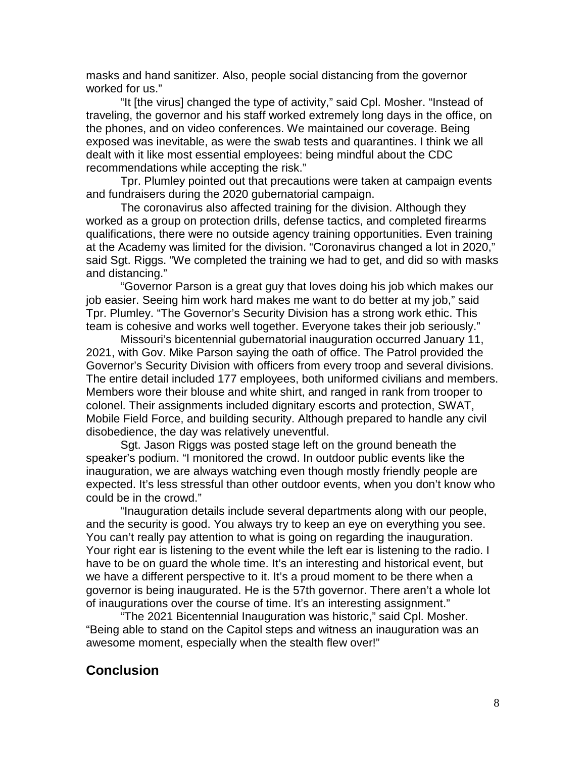masks and hand sanitizer. Also, people social distancing from the governor worked for us."

"It [the virus] changed the type of activity," said Cpl. Mosher. "Instead of traveling, the governor and his staff worked extremely long days in the office, on the phones, and on video conferences. We maintained our coverage. Being exposed was inevitable, as were the swab tests and quarantines. I think we all dealt with it like most essential employees: being mindful about the CDC recommendations while accepting the risk."

Tpr. Plumley pointed out that precautions were taken at campaign events and fundraisers during the 2020 gubernatorial campaign.

The coronavirus also affected training for the division. Although they worked as a group on protection drills, defense tactics, and completed firearms qualifications, there were no outside agency training opportunities. Even training at the Academy was limited for the division. "Coronavirus changed a lot in 2020," said Sgt. Riggs. "We completed the training we had to get, and did so with masks and distancing."

"Governor Parson is a great guy that loves doing his job which makes our job easier. Seeing him work hard makes me want to do better at my job," said Tpr. Plumley. "The Governor's Security Division has a strong work ethic. This team is cohesive and works well together. Everyone takes their job seriously."

Missouri's bicentennial gubernatorial inauguration occurred January 11, 2021, with Gov. Mike Parson saying the oath of office. The Patrol provided the Governor's Security Division with officers from every troop and several divisions. The entire detail included 177 employees, both uniformed civilians and members. Members wore their blouse and white shirt, and ranged in rank from trooper to colonel. Their assignments included dignitary escorts and protection, SWAT, Mobile Field Force, and building security. Although prepared to handle any civil disobedience, the day was relatively uneventful.

Sgt. Jason Riggs was posted stage left on the ground beneath the speaker's podium. "I monitored the crowd. In outdoor public events like the inauguration, we are always watching even though mostly friendly people are expected. It's less stressful than other outdoor events, when you don't know who could be in the crowd."

"Inauguration details include several departments along with our people, and the security is good. You always try to keep an eye on everything you see. You can't really pay attention to what is going on regarding the inauguration. Your right ear is listening to the event while the left ear is listening to the radio. I have to be on guard the whole time. It's an interesting and historical event, but we have a different perspective to it. It's a proud moment to be there when a governor is being inaugurated. He is the 57th governor. There aren't a whole lot of inaugurations over the course of time. It's an interesting assignment."

"The 2021 Bicentennial Inauguration was historic," said Cpl. Mosher. "Being able to stand on the Capitol steps and witness an inauguration was an awesome moment, especially when the stealth flew over!"

## **Conclusion**